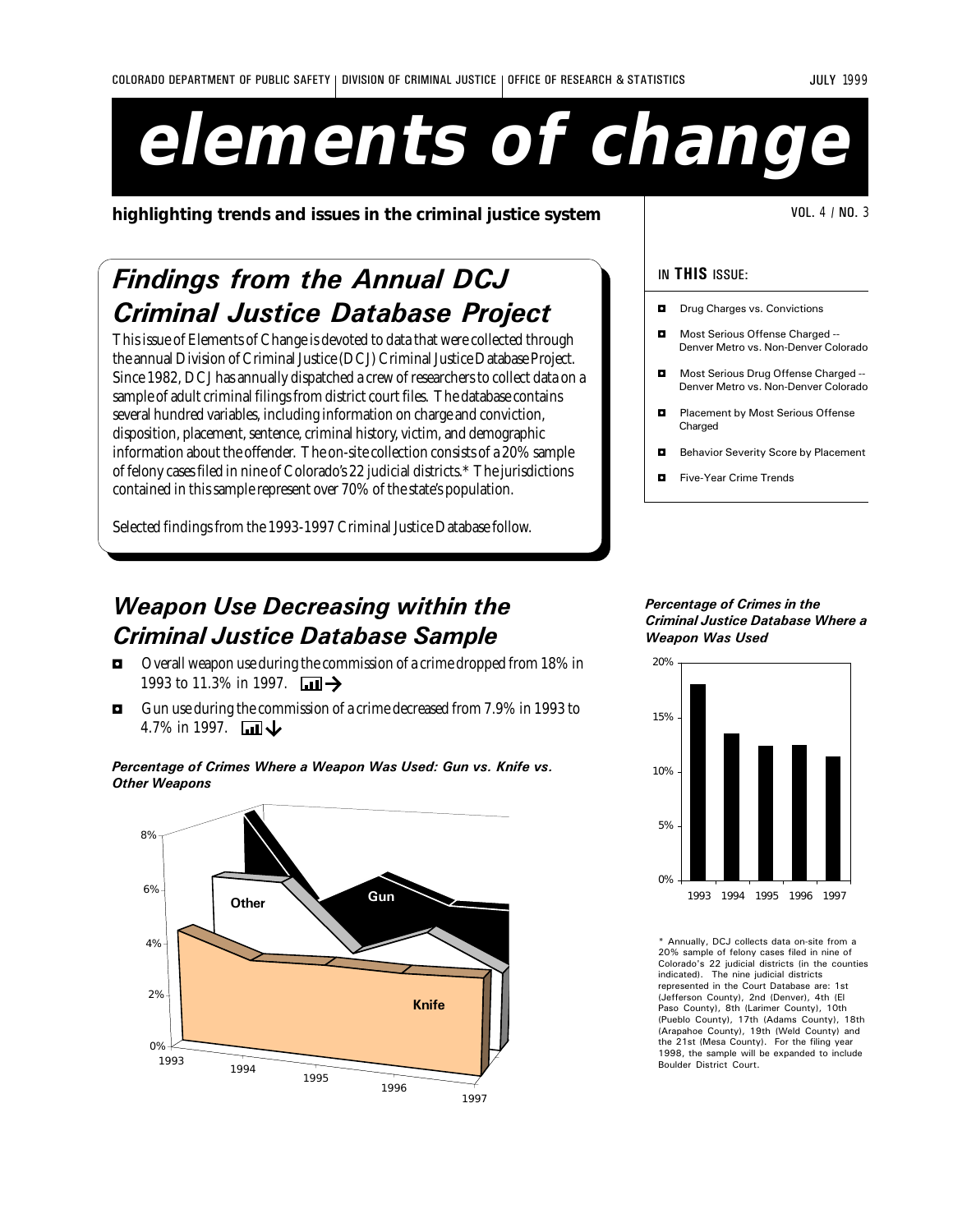# **elements of change**

**highlighting trends and issues in the criminal justice system**  $\vert$  **WELEUM** VOL. 4 / NO. 3

# Findings from the Annual DCJ Criminal Justice Database Project

This issue of Elements of Change is devoted to data that were collected through the annual Division of Criminal Justice (DCJ) Criminal Justice Database Project. Since 1982, DCJ has annually dispatched a crew of researchers to collect data on a sample of adult criminal filings from district court files. The database contains several hundred variables, including information on charge and conviction, disposition, placement, sentence, criminal history, victim, and demographic information about the offender. The on-site collection consists of a 20% sample of felony cases filed in nine of Colorado's 22 judicial districts.\* The jurisdictions contained in this sample represent over 70% of the state's population.

Selected findings from the 1993-1997 Criminal Justice Database follow.

# Weapon Use Decreasing within the Criminal Justice Database Sample

- $\blacksquare$  Overall weapon use during the commission of a crime dropped from 18% in 1993 to 11.3% in 1997.  $\Box$
- $\blacksquare$  Gun use during the commission of a crime decreased from 7.9% in 1993 to 4.7% in 1997.  $\Box$

### Percentage of Crimes Where a Weapon Was Used: Gun vs. Knife vs. Other Weapons



### IN THIS ISSUE:

- $\Box$  Drug Charges vs. Convictions
- Most Serious Offense Charged --Denver Metro vs. Non-Denver Colorado
- Most Serious Drug Offense Charged --Denver Metro vs. Non-Denver Colorado
- $\blacksquare$  Placement by Most Serious Offense Charged
- **B** Behavior Severity Score by Placement
- **D** Five-Year Crime Trends

#### Percentage of Crimes in the Criminal Justice Database Where a Weapon Was Used



Annually, DCJ collects data on-site from a 20% sample of felony cases filed in nine of Colorado's 22 judicial districts (in the counties indicated). The nine judicial districts represented in the Court Database are: 1st (Jefferson County), 2nd (Denver), 4th (El Paso County), 8th (Larimer County), 10th (Pueblo County), 17th (Adams County), 18th (Arapahoe County), 19th (Weld County) and the 21st (Mesa County). For the filing year 1998, the sample will be expanded to include Boulder District Court.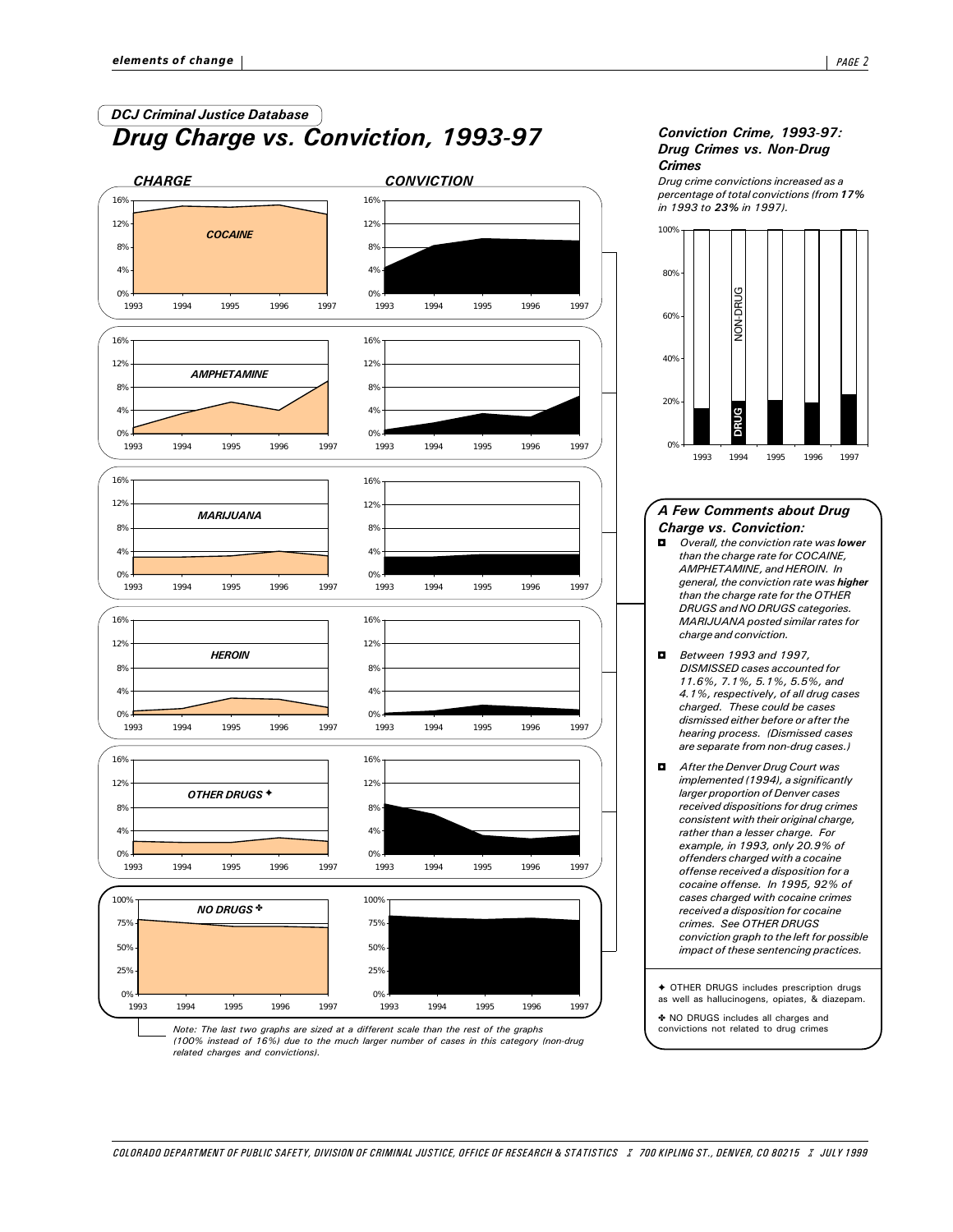# Drug Charge vs. Conviction, 1993-97 DCJ Criminal Justice Database



#### Conviction Crime, 1993-97: Drug Crimes vs. Non-Drug **Crimes**

Drug crime convictions increased as a percentage of total convictions (from 17% in 1993 to 23% in 1997).



#### A Few Comments about Drug Charge vs. Conviction:

- $\Box$  Overall, the conviction rate was **lower** than the charge rate for COCAINE, AMPHETAMINE, and HEROIN. In general, the conviction rate was higher than the charge rate for the OTHER DRUGS and NO DRUGS categories. MARIJUANA posted similar rates for charge and conviction.
- **D** Between 1993 and 1997, DISMISSED cases accounted for 11.6%, 7.1%, 5.1%, 5.5%, and 4.1%, respectively, of all drug cases charged. These could be cases dismissed either before or after the hearing process. (Dismissed cases are separate from non-drug cases.)
- $\blacksquare$  After the Denver Drug Court was implemented (1994), a significantly larger proportion of Denver cases received dispositions for drug crimes consistent with their original charge, rather than a lesser charge. For example, in 1993, only 20.9% of offenders charged with a cocaine offense received a disposition for a cocaine offense. In 1995, 92% of cases charged with cocaine crimes received a disposition for cocaine crimes. See OTHER DRUGS conviction graph to the left for possible impact of these sentencing practices.
- g OTHER DRUGS includes prescription drugs as well as hallucinogens, opiates, & diazepam.
- e NO DRUGS includes all charges and convictions not related to drug crimes

Note: The last two graphs are sized at a different scale than the rest of the graphs (100% instead of 16%) due to the much larger number of cases in this category (non-drug related charges and convictions).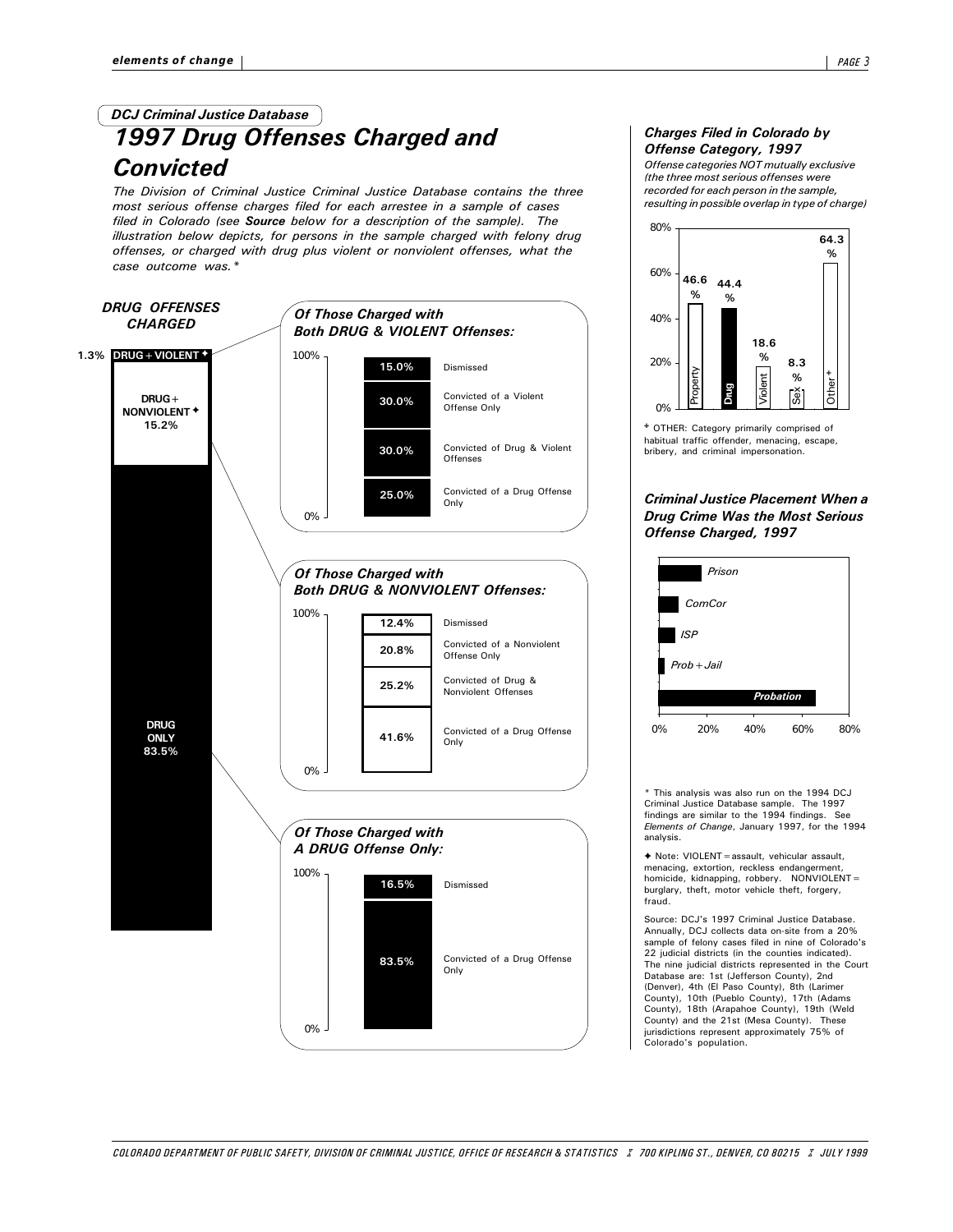# 1997 Drug Offenses Charged and **Convicted** DCJ Criminal Justice Database

The Division of Criminal Justice Criminal Justice Database contains the three most serious offense charges filed for each arrestee in a sample of cases filed in Colorado (see **Source** below for a description of the sample). The illustration below depicts, for persons in the sample charged with felony drug offenses, or charged with drug plus violent or nonviolent offenses, what the case outcome was.\*



#### Charges Filed in Colorado by Offense Category, 1997

Offense categories NOT mutually exclusive (the three most serious offenses were recorded for each person in the sample, resulting in possible overlap in type of charge)



OTHER: Category primarily comprised of habitual traffic offender, menacing, escape, bribery, and criminal impersonation.

#### Criminal Justice Placement When a Drug Crime Was the Most Serious Offense Charged, 1997



\* This analysis was also run on the 1994 DCJ Criminal Justice Database sample. The 1997 findings are similar to the 1994 findings. See Elements of Change, January 1997, for the 1994 analysis.

◆ Note: VIOLENT = assault, vehicular assault,<br>menacing, extortion, reckless endangerment, homicide, kidnapping, robbery. NONVIOLENT= burglary, theft, motor vehicle theft, forgery, fraud.

Source: DCJ's 1997 Criminal Justice Database. Annually, DCJ collects data on-site from a 20% sample of felony cases filed in nine of Colorado's 22 judicial districts (in the counties indicated). The nine judicial districts represented in the Court Database are: 1st (Jefferson County), 2nd (Denver), 4th (El Paso County), 8th (Larimer County), 10th (Pueblo County), 17th (Adams County), 18th (Arapahoe County), 19th (Weld County) and the 21st (Mesa County). These jurisdictions represent approximately 75% of Colorado's population.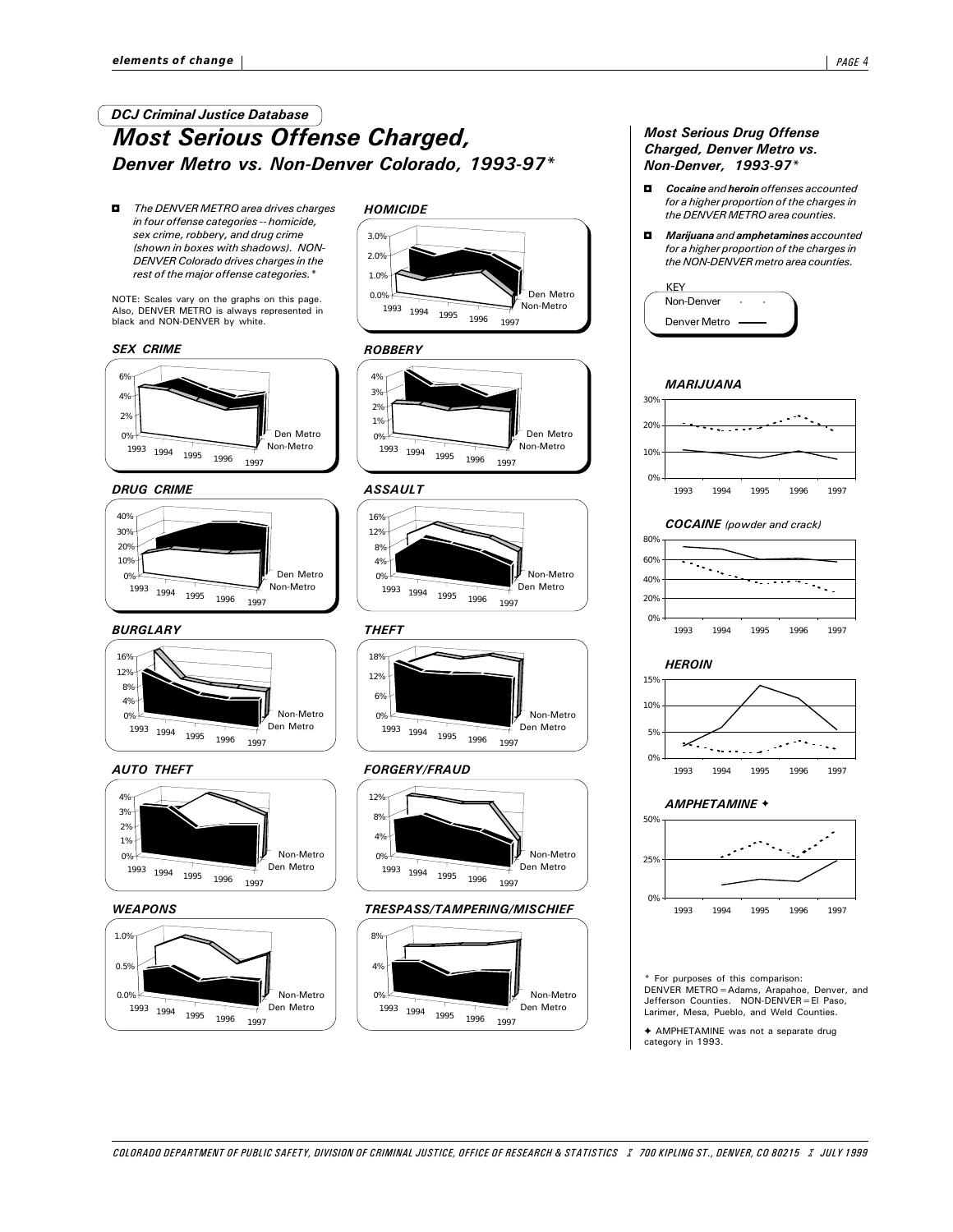## Most Serious Offense Charged, Denver Metro vs. Non-Denver Colorado, 1993-97\* DCJ Criminal Justice Database

The DENVER METRO area drives charges in four offense categories -- homicide, sex crime, robbery, and drug crime (shown in boxes with shadows). NON-DENVER Colorado drives charges in the rest of the major offense categories.\*

NOTE: Scales vary on the graphs on this page. Also, DENVER METRO is always represented in black and NON-DENVER by white.

#### SEX CRIME



#### DRUG CRIME



#### BURGLARY THEFT





#### **WEAPONS**



## **HOMICIDE**



#### **ROBBERY**



#### ASSAULT





#### AUTO THEFT FORGERY/FRAUD



#### TRESPASS/TAMPERING/MISCHIEF



## Most Serious Drug Offense Charged, Denver Metro vs. Non-Denver, 1993-97\*

- $\Box$  Cocaine and heroin offenses accounted for a higher proportion of the charges in the DENVER METRO area counties.
- $\blacksquare$  Marijuana and amphetamines accounted for a higher proportion of the charges in the NON-DENVER metro area counties.



#### MARIJUANA





#### **HEROIN**



#### AMPHETAMINE +



For purposes of this comparison: DENVER METRO=Adams, Arapahoe, Denver, and Jefferson Counties. NON-DENVER=El Paso, Larimer, Mesa, Pueblo, and Weld Counties.

g AMPHETAMINE was not a separate drug category in 1993.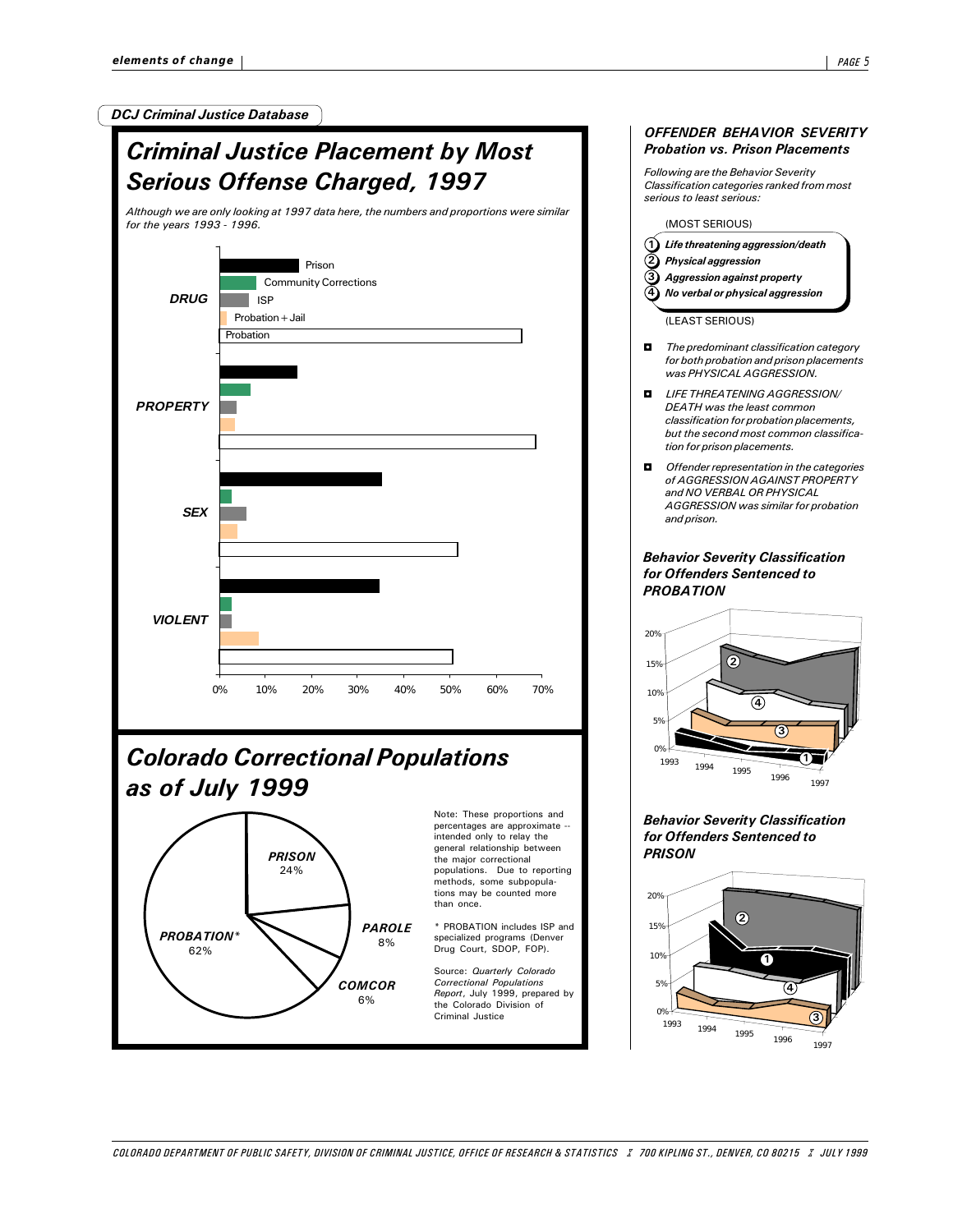3

1

DCJ Criminal Justice Database